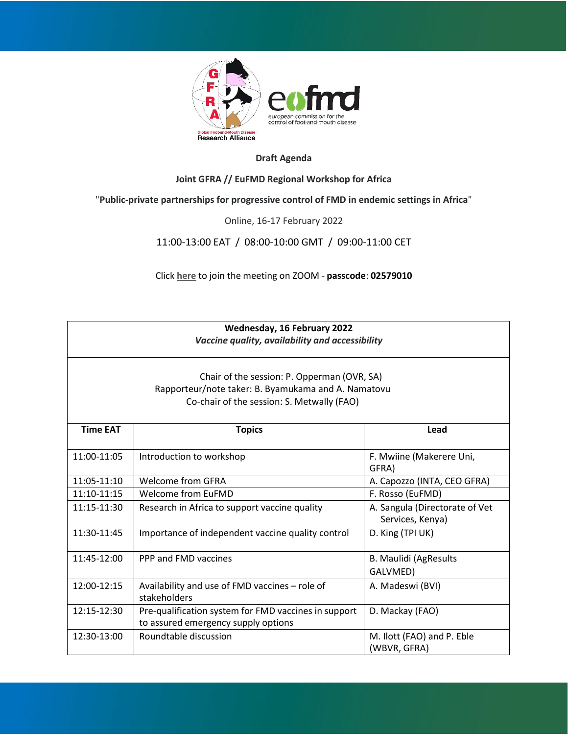

## **Draft Agenda**

### **Joint GFRA // EuFMD Regional Workshop for Africa**

# "**Public-private partnerships for progressive control of FMD in endemic settings in Africa**"

#### Online, 16-17 February 2022

11:00-13:00 EAT / 08:00-10:00 GMT / 09:00-11:00 CET

Click **[here](https://fao.zoom.us/s/92239237796)** to join the meeting on ZOOM - **passcode**: **02579010**

| Wednesday, 16 February 2022<br>Vaccine quality, availability and accessibility<br>Chair of the session: P. Opperman (OVR, SA)<br>Rapporteur/note taker: B. Byamukama and A. Namatovu<br>Co-chair of the session: S. Metwally (FAO) |                                                                                             |                                                    |  |
|------------------------------------------------------------------------------------------------------------------------------------------------------------------------------------------------------------------------------------|---------------------------------------------------------------------------------------------|----------------------------------------------------|--|
|                                                                                                                                                                                                                                    |                                                                                             |                                                    |  |
| 11:00-11:05                                                                                                                                                                                                                        | Introduction to workshop                                                                    | F. Mwiine (Makerere Uni,<br>GFRA)                  |  |
| 11:05-11:10                                                                                                                                                                                                                        | Welcome from GFRA                                                                           | A. Capozzo (INTA, CEO GFRA)                        |  |
| 11:10-11:15                                                                                                                                                                                                                        | Welcome from EuFMD                                                                          | F. Rosso (EuFMD)                                   |  |
| 11:15-11:30                                                                                                                                                                                                                        | Research in Africa to support vaccine quality                                               | A. Sangula (Directorate of Vet<br>Services, Kenya) |  |
| 11:30-11:45                                                                                                                                                                                                                        | Importance of independent vaccine quality control                                           | D. King (TPI UK)                                   |  |
| 11:45-12:00                                                                                                                                                                                                                        | PPP and FMD vaccines                                                                        | <b>B. Maulidi (AgResults</b><br>GALVMED)           |  |
| 12:00-12:15                                                                                                                                                                                                                        | Availability and use of FMD vaccines - role of<br>stakeholders                              | A. Madeswi (BVI)                                   |  |
| 12:15-12:30                                                                                                                                                                                                                        | Pre-qualification system for FMD vaccines in support<br>to assured emergency supply options | D. Mackay (FAO)                                    |  |
| 12:30-13:00                                                                                                                                                                                                                        | Roundtable discussion                                                                       | M. Ilott (FAO) and P. Eble<br>(WBVR, GFRA)         |  |